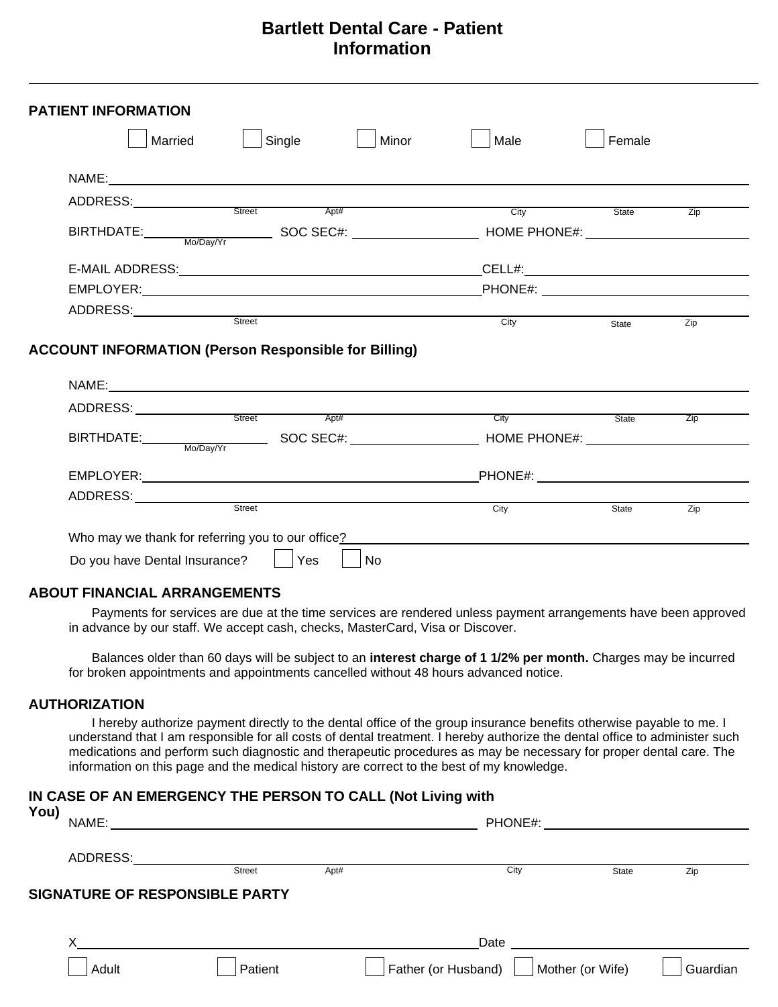# **Bartlett Dental Care - Patient Information**

| ADDRESS: Street Apt#                                        | City    | State |     |
|-------------------------------------------------------------|---------|-------|-----|
|                                                             |         |       |     |
|                                                             |         |       | Zip |
|                                                             |         |       |     |
|                                                             |         |       |     |
|                                                             |         |       |     |
| Street                                                      | City    | State | Zip |
| <b>ACCOUNT INFORMATION (Person Responsible for Billing)</b> |         |       |     |
|                                                             |         |       |     |
| ADDRESS: Street Apt#                                        | City    | State | Zip |
| BIRTHDATE: Mo/Day/Yr SOC SEC#: HOME PHONE#:                 |         |       |     |
|                                                             | PHONE#: |       |     |
|                                                             |         |       |     |
|                                                             |         |       |     |

### **ABOUT FINANCIAL ARRANGEMENTS**

Payments for services are due at the time services are rendered unless payment arrangements have been approved in advance by our staff. We accept cash, checks, MasterCard, Visa or Discover.

Balances older than 60 days will be subject to an **interest charge of 1 1/2% per month.** Charges may be incurred for broken appointments and appointments cancelled without 48 hours advanced notice.

### **AUTHORIZATION**

I hereby authorize payment directly to the dental office of the group insurance benefits otherwise payable to me. I understand that I am responsible for all costs of dental treatment. I hereby authorize the dental office to administer such medications and perform such diagnostic and therapeutic procedures as may be necessary for proper dental care. The information on this page and the medical history are correct to the best of my knowledge.

#### **IN CASE OF AN EMERGENCY THE PERSON TO CALL (Not Living with**

| You) | NAME:    |                                       |      | PHONE#:             |                  |          |
|------|----------|---------------------------------------|------|---------------------|------------------|----------|
|      | ADDRESS: | <b>Street</b>                         | Apt# | City                | <b>State</b>     | Zip      |
|      |          | <b>SIGNATURE OF RESPONSIBLE PARTY</b> |      |                     |                  |          |
|      |          |                                       |      | Date                |                  |          |
|      | Adult    | Patient                               |      | Father (or Husband) | Mother (or Wife) | Guardian |